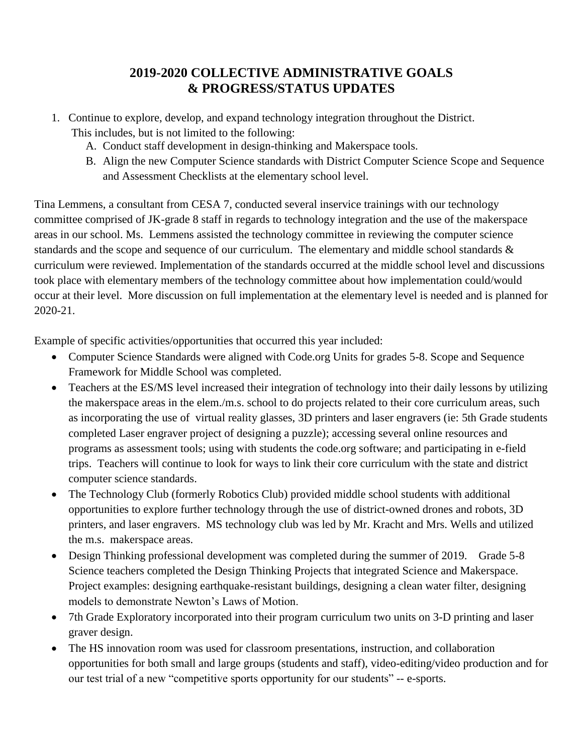## **2019-2020 COLLECTIVE ADMINISTRATIVE GOALS & PROGRESS/STATUS UPDATES**

- 1. Continue to explore, develop, and expand technology integration throughout the District. This includes, but is not limited to the following:
	- A. Conduct staff development in design-thinking and Makerspace tools.
	- B. Align the new Computer Science standards with District Computer Science Scope and Sequence and Assessment Checklists at the elementary school level.

Tina Lemmens, a consultant from CESA 7, conducted several inservice trainings with our technology committee comprised of JK-grade 8 staff in regards to technology integration and the use of the makerspace areas in our school. Ms. Lemmens assisted the technology committee in reviewing the computer science standards and the scope and sequence of our curriculum. The elementary and middle school standards & curriculum were reviewed. Implementation of the standards occurred at the middle school level and discussions took place with elementary members of the technology committee about how implementation could/would occur at their level. More discussion on full implementation at the elementary level is needed and is planned for 2020-21.

Example of specific activities/opportunities that occurred this year included:

- Computer Science Standards were aligned with Code.org Units for grades 5-8. Scope and Sequence Framework for Middle School was completed.
- Teachers at the ES/MS level increased their integration of technology into their daily lessons by utilizing the makerspace areas in the elem./m.s. school to do projects related to their core curriculum areas, such as incorporating the use of virtual reality glasses, 3D printers and laser engravers (ie: 5th Grade students completed Laser engraver project of designing a puzzle); accessing several online resources and programs as assessment tools; using with students the code.org software; and participating in e-field trips. Teachers will continue to look for ways to link their core curriculum with the state and district computer science standards.
- The Technology Club (formerly Robotics Club) provided middle school students with additional opportunities to explore further technology through the use of district-owned drones and robots, 3D printers, and laser engravers. MS technology club was led by Mr. Kracht and Mrs. Wells and utilized the m.s. makerspace areas.
- Design Thinking professional development was completed during the summer of 2019. Grade 5-8 Science teachers completed the Design Thinking Projects that integrated Science and Makerspace. Project examples: designing earthquake-resistant buildings, designing a clean water filter, designing models to demonstrate Newton's Laws of Motion.
- 7th Grade Exploratory incorporated into their program curriculum two units on 3-D printing and laser graver design.
- The HS innovation room was used for classroom presentations, instruction, and collaboration opportunities for both small and large groups (students and staff), video-editing/video production and for our test trial of a new "competitive sports opportunity for our students" -- e-sports.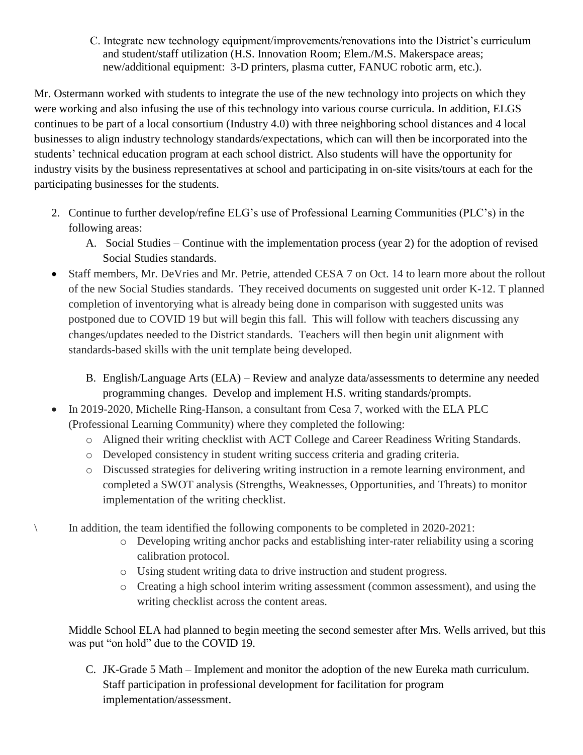C. Integrate new technology equipment/improvements/renovations into the District's curriculum and student/staff utilization (H.S. Innovation Room; Elem./M.S. Makerspace areas; new/additional equipment: 3-D printers, plasma cutter, FANUC robotic arm, etc.).

Mr. Ostermann worked with students to integrate the use of the new technology into projects on which they were working and also infusing the use of this technology into various course curricula. In addition, ELGS continues to be part of a local consortium (Industry 4.0) with three neighboring school distances and 4 local businesses to align industry technology standards/expectations, which can will then be incorporated into the students' technical education program at each school district. Also students will have the opportunity for industry visits by the business representatives at school and participating in on-site visits/tours at each for the participating businesses for the students.

- 2. Continue to further develop/refine ELG's use of Professional Learning Communities (PLC's) in the following areas:
	- A. Social Studies Continue with the implementation process (year 2) for the adoption of revised Social Studies standards.
- Staff members, Mr. DeVries and Mr. Petrie, attended CESA 7 on Oct. 14 to learn more about the rollout of the new Social Studies standards. They received documents on suggested unit order K-12. T planned completion of inventorying what is already being done in comparison with suggested units was postponed due to COVID 19 but will begin this fall. This will follow with teachers discussing any changes/updates needed to the District standards. Teachers will then begin unit alignment with standards-based skills with the unit template being developed.
	- B. English/Language Arts (ELA) Review and analyze data/assessments to determine any needed programming changes. Develop and implement H.S. writing standards/prompts.
- In 2019-2020, Michelle Ring-Hanson, a consultant from Cesa 7, worked with the ELA PLC (Professional Learning Community) where they completed the following:
	- o Aligned their writing checklist with ACT College and Career Readiness Writing Standards.
	- o Developed consistency in student writing success criteria and grading criteria.
	- o Discussed strategies for delivering writing instruction in a remote learning environment, and completed a SWOT analysis (Strengths, Weaknesses, Opportunities, and Threats) to monitor implementation of the writing checklist.
- \ In addition, the team identified the following components to be completed in 2020-2021:
	- o Developing writing anchor packs and establishing inter-rater reliability using a scoring calibration protocol.
	- o Using student writing data to drive instruction and student progress.
	- o Creating a high school interim writing assessment (common assessment), and using the writing checklist across the content areas.

Middle School ELA had planned to begin meeting the second semester after Mrs. Wells arrived, but this was put "on hold" due to the COVID 19.

C. JK-Grade 5 Math – Implement and monitor the adoption of the new Eureka math curriculum. Staff participation in professional development for facilitation for program implementation/assessment.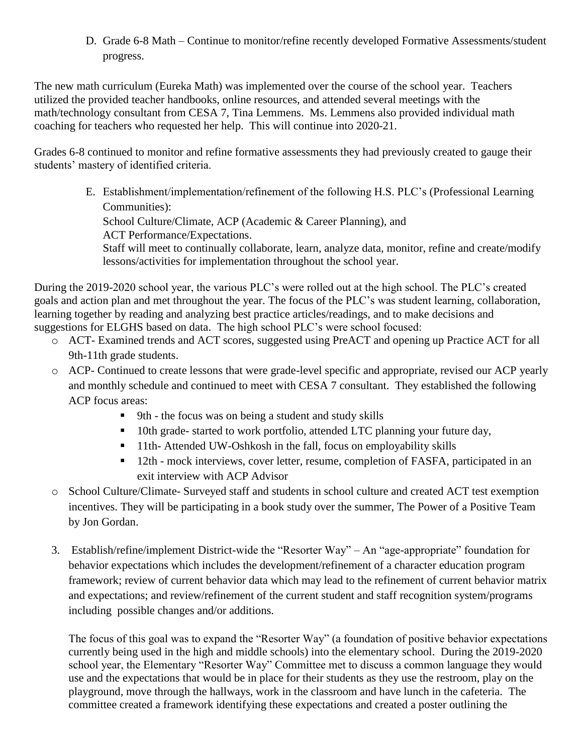D. Grade 6-8 Math – Continue to monitor/refine recently developed Formative Assessments/student progress.

The new math curriculum (Eureka Math) was implemented over the course of the school year. Teachers utilized the provided teacher handbooks, online resources, and attended several meetings with the math/technology consultant from CESA 7, Tina Lemmens. Ms. Lemmens also provided individual math coaching for teachers who requested her help. This will continue into 2020-21.

Grades 6-8 continued to monitor and refine formative assessments they had previously created to gauge their students' mastery of identified criteria.

> E. Establishment/implementation/refinement of the following H.S. PLC's (Professional Learning Communities):

School Culture/Climate, ACP (Academic & Career Planning), and

ACT Performance/Expectations.

Staff will meet to continually collaborate, learn, analyze data, monitor, refine and create/modify lessons/activities for implementation throughout the school year.

During the 2019-2020 school year, the various PLC's were rolled out at the high school. The PLC's created goals and action plan and met throughout the year. The focus of the PLC's was student learning, collaboration, learning together by reading and analyzing best practice articles/readings, and to make decisions and suggestions for ELGHS based on data. The high school PLC's were school focused:

- o ACT- Examined trends and ACT scores, suggested using PreACT and opening up Practice ACT for all 9th-11th grade students.
- o ACP- Continued to create lessons that were grade-level specific and appropriate, revised our ACP yearly and monthly schedule and continued to meet with CESA 7 consultant. They established the following ACP focus areas:
	- 9th the focus was on being a student and study skills
	- 10th grade- started to work portfolio, attended LTC planning your future day,
	- 11th- Attended UW-Oshkosh in the fall, focus on employability skills
	- <sup>12th</sup> mock interviews, cover letter, resume, completion of FASFA, participated in an exit interview with ACP Advisor
- o School Culture/Climate- Surveyed staff and students in school culture and created ACT test exemption incentives. They will be participating in a book study over the summer, The Power of a Positive Team by Jon Gordan.
- 3. Establish/refine/implement District-wide the "Resorter Way" An "age-appropriate" foundation for behavior expectations which includes the development/refinement of a character education program framework; review of current behavior data which may lead to the refinement of current behavior matrix and expectations; and review/refinement of the current student and staff recognition system/programs including possible changes and/or additions.

The focus of this goal was to expand the "Resorter Way" (a foundation of positive behavior expectations currently being used in the high and middle schools) into the elementary school. During the 2019-2020 school year, the Elementary "Resorter Way" Committee met to discuss a common language they would use and the expectations that would be in place for their students as they use the restroom, play on the playground, move through the hallways, work in the classroom and have lunch in the cafeteria. The committee created a framework identifying these expectations and created a poster outlining the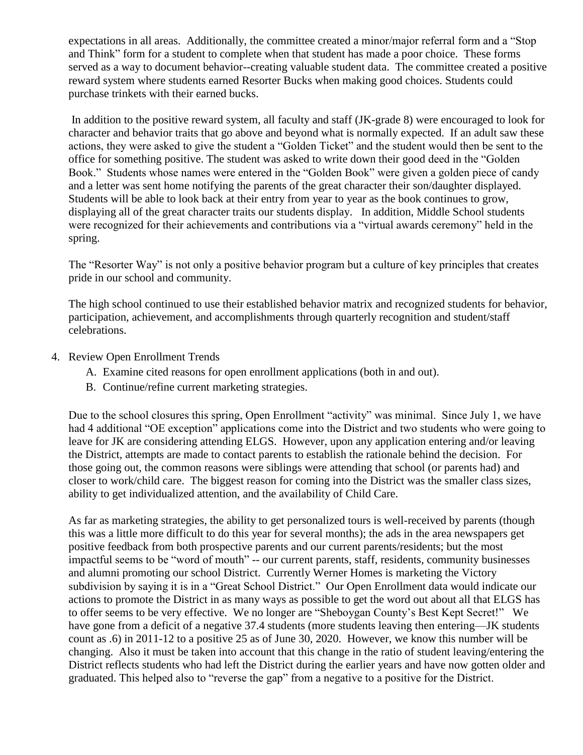expectations in all areas. Additionally, the committee created a minor/major referral form and a "Stop and Think" form for a student to complete when that student has made a poor choice. These forms served as a way to document behavior--creating valuable student data. The committee created a positive reward system where students earned Resorter Bucks when making good choices. Students could purchase trinkets with their earned bucks.

In addition to the positive reward system, all faculty and staff (JK-grade 8) were encouraged to look for character and behavior traits that go above and beyond what is normally expected. If an adult saw these actions, they were asked to give the student a "Golden Ticket" and the student would then be sent to the office for something positive. The student was asked to write down their good deed in the "Golden Book." Students whose names were entered in the "Golden Book" were given a golden piece of candy and a letter was sent home notifying the parents of the great character their son/daughter displayed. Students will be able to look back at their entry from year to year as the book continues to grow, displaying all of the great character traits our students display. In addition, Middle School students were recognized for their achievements and contributions via a "virtual awards ceremony" held in the spring.

The "Resorter Way" is not only a positive behavior program but a culture of key principles that creates pride in our school and community.

The high school continued to use their established behavior matrix and recognized students for behavior, participation, achievement, and accomplishments through quarterly recognition and student/staff celebrations.

- 4. Review Open Enrollment Trends
	- A. Examine cited reasons for open enrollment applications (both in and out).
	- B. Continue/refine current marketing strategies.

Due to the school closures this spring, Open Enrollment "activity" was minimal. Since July 1, we have had 4 additional "OE exception" applications come into the District and two students who were going to leave for JK are considering attending ELGS. However, upon any application entering and/or leaving the District, attempts are made to contact parents to establish the rationale behind the decision. For those going out, the common reasons were siblings were attending that school (or parents had) and closer to work/child care. The biggest reason for coming into the District was the smaller class sizes, ability to get individualized attention, and the availability of Child Care.

As far as marketing strategies, the ability to get personalized tours is well-received by parents (though this was a little more difficult to do this year for several months); the ads in the area newspapers get positive feedback from both prospective parents and our current parents/residents; but the most impactful seems to be "word of mouth" -- our current parents, staff, residents, community businesses and alumni promoting our school District. Currently Werner Homes is marketing the Victory subdivision by saying it is in a "Great School District." Our Open Enrollment data would indicate our actions to promote the District in as many ways as possible to get the word out about all that ELGS has to offer seems to be very effective. We no longer are "Sheboygan County's Best Kept Secret!" We have gone from a deficit of a negative 37.4 students (more students leaving then entering—JK students count as .6) in 2011-12 to a positive 25 as of June 30, 2020. However, we know this number will be changing. Also it must be taken into account that this change in the ratio of student leaving/entering the District reflects students who had left the District during the earlier years and have now gotten older and graduated. This helped also to "reverse the gap" from a negative to a positive for the District.